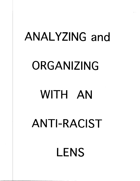# **ANALYZING and**

# ORGANIZING

# WITH AN

# ANTI-RACIST

LENS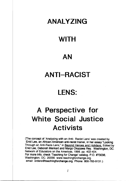## ANALYZING

## **WITH**

### AN

## **ANTI-RACIST**

# LENS:

# A Perspective for White Social Justice **Activists**

(The concept of 'Analyzing with an Anti- Racist Lens' was created by Enid Lee, an African-American anti-racist trainer, in her essay "Looking Through an Anti-Racis Lens," in Beyond Heroes and Holidays. Edited by Enid Lee, Deborah Menkart and Margo Okazawa Rey. Washington, DC. Network of Educators on the Americas, 1998. pp. 402-404. For more info, check 'Teaching for Change' catalog. P.O. #73038. Washington, DC. 20056. www.teachingforchange.org. email: orders@teachingforchange.org. Phone: 800-763-9131.)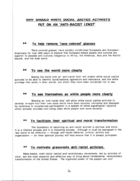#### WHY SHOULD WHITE SOCIAL JUSTICE ACTIVISTS PUT ON AN 'ANTI-RACIST LENS?'

#### $**$ To help remove 'race-colored' glasses

'Race-colored glasses' have socially conditioned Europeans and European-Americans for over 400 years to believe that European-based people and cultures are superior to peoples and cultures indigenous to Africa, the Americas, Asia and the Pacific Islands, and the Arab world.

#### \*\* To see the world more clearly

Seeing the world with an 'anti-racist lens' will enable white social justice activists to be able to identify racial/national oppression and resistance, and the white privilege that exists in their worlds, but which they have been socialized not to see.

#### $***$ To see themselves as white people more clearly

Wearing an 'anti-racist lens' will allow white social justice activists to develop in-sight into their own souls which have been severely corrupted and damaged by conscious or unconscious participation in a system of white supremacisit injustice which actually provides non-ruling class white people with some benefits.

#### $***$ To facilitate their spiritual and moral transformation

The foundation of becoming an anti-racist activist is spiritual and moral. It is a lifetime process and it is liberating process. Although is must be expressed in the real world to be *effective* -- through anti-racist behavior, culture, politics and organization -- an inner spiritual journey will help ensure that it is always principled.

#### $***$ To motivate grassroots anti-racist activism.

Mass-based, multi-racial radical and revolutionary movements, led by activists of color, are the most powerful and effective way to bring about fundamental, revolutionary transformation of the United States. The organized power of the people can win!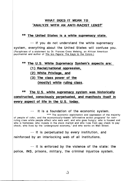#### WHAT DOES IT MEAN TO 'ANALYZE WITH AN ANTI-RACIST LENS?'

#### \*\* The United States is a white supremacy state.

 $-$  If you do not understand the white supremacy system, everything about the United States will confuse you. (Paraphrase of a statement by Dr. Frances Cress Welsing, an African American psychiatrist and author of The Isis Papers: The Keys to the Colors.)

#### \*\* The U.S. White Supremacy System's aspects are:

- (1) Racial/national oppression,
- (2) White Privilege, and
- $(3)$  The class power of the

(mostly) white ruling class.

#### \*\* The U.S. white supremacy system was historically constructed, consciously perpetuated, and manifests itself in every aspect of life in the U.S. today.

-- It is a foundation of the economic system.

\*\*\* The economic exploitation and oppression of the majority of people of color, and the economically-based 'affirmative action programs' for nonruling class white people affect who eats well, and who goes hungry; who is housed and who is homeless; who invests in the stock market and who lives from pay check to pay check; who lives by the 'underground economy,' and who works on Wall Street.

 $-$  It is perpetuated by every institution, and reinforced by an interlocking web of all institutions.

 $-$  It is enforced by the violence of the state: the police. INS, prisons, military, the criminal injustice system.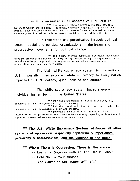$-$  It is recreated in all aspects of U.S. culture.

\*\*\* The culture of white supremacy includes: how U.S. history is written and lied about; the media, everyday language, art, group dynamics, music, values and assumptions about who and what is 'valuable,' internalized white supremacy and internalized racial oppression, racialized fears, white guilt, etc.

-- It is reinforced and perpetuated through political issues, social and political organizations, mainstream and progressive movements for political change.

\*\*\* This history of white-dominated progressive movements, from the crowds at the Boston Tea Party through today's anti-global capitalist activists, reproduce white privilege and racial oppression in political demands, culture, organization, short and long term goals.

 $-$  The U.S. white supremacy system is international. U.S. imperialism has exported white supremacy to every nation impacted by U.S. dollars, guns, politics and culture.

-- The white supremacy system impacts every individual human being in the United States.

\*\*\* Individuals are treated differently in everyday life, depending on their racial/national origin and ancestry. \*\*\* Individuals treat each other differently in everyday life, depending on their racial/national origin and ancestry. \*\*\* Individuals manifest different aspects of either internalized racial oppression or internalized white superiority depending on how the white supremacy system values their existence as human beings.

\*\* The U.S. White Supremacy System reinforces all other systems of oppression, especially capitalism & imperialism, patriarchy & heterosexism, and the violence of the state.

\*\* Where There is Oppression, There is Resistance.

-- Learn to 'Organize with an Anti-Racist Lens.'

-- Hold On To Your Visions.

-- The Power of the People Will Win!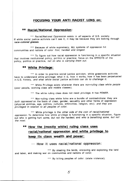#### FOCUSING YOUR ANTI-RACIST LENS on:

#### **\*\* Racial/National Oppression:**

... Racial/National Oppression exists in all aspects of U.S. society. If white social justice activists can't see it, it may be because they are looking through race-colored glasses.

... Because of white supremacy, ALL systems of oppression hit communities and nations of color first, hardest and longest.

\*\*\* To figure out how racial oppression is functioning in a specific situation that involves institutional policy, politics or practice; focus on the EFFECTS of the policy, politics or practice, not on who is carrying them out.

#### \*\* White Privilege:

... In order to practice social justice activism, white grassroots activists have to understand white privilege: what it is, how it works, how it has been perpetuated in U.S. history, and what white social justice activists can do to challenge it.

... White Privilege exists wherever there are non-ruling class white people (poor people, working class and middle classes).

... The white ruling class does not need privilege. It has POWER.

... Non-ruling class white folks are a bundle of contradictions: they are both oppressed on the basis of class, gender, sexuality and other forms of oppression (physical abilities, age, politics, cultures, ethnicities, religion, etc); and they are privileged in relation to all peoples of color.

... White privilege is the other side of the coin of racial/national oppression. To determine how white privilege is functioning in a specific situation, figure out who is getting hurt some, but not the hardest; and who is benefiting some, but not the most.

#### \*\* How the (mostly white) ruling class uses racial/national oppression and white privilege to keep its class wealth and power:

-- How it uses racial/national oppression:

... By stealing the lands, enslaving and exploiting the land and labor, and making war on communities and nations of color;

... By killing peoples of color: (state violence);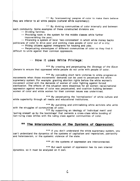... By 'brainwashing' peoples of color to make them believe they are inferior to all white people (cultural white supremacy);

... By dividing communities of color internally and between each community. Some examples of these constructed divisions are:

-- Dividing families;

 $-$  Providing room in the system for the middle classes while further impoverishing the poor;

-- Financing a system of local 'neo-colonialism' in which white money backs politicians of color to drive poor and working class people of color out of a city;

-- Pitting citizens against immigrants for housing and jobs:

-- Perpetuating stereotypes of different communities of color so they find it difficult to unite against their common oppressors.

#### -- How it uses White Privilege:

\*\*\* By creating and perpetuating the Strategy of the Slave Owners to ensure that oppressed white people do not unite with people of color:

\*\*\* By conceding short term victories to white progressive movements when those movements' demands can be used to perpetuate the white supremacy system. For example: granting abortion rights before the white women's movement united with the demands of women of color fighting against forced sterilization. The effects of this situation were disastrous for all women: racial/national oppression against women of color was perpetuated, and coalition building between women of color and white women for their common issues was undermined.

\*\*\* By perpetuating the 'normalization' of white culture and white superiority through all media and educational institutions.

\*\*\* By punishing and criminalizing white activists who unite with the struggles of communities of color.

\*\*\* By supporting an ideology of 'individual merit' and 'pulling oneself up by the bootstraps' that cements a cross-class white bonding of non-ruling class whites with the ruling class against communities of color.

#### \*\* The Interconnections of the Systems of Oppression:

\*\*\* If you don't understand the white supremacy system, you can't understand the dynamics of the systems of capitalism and imperialism, patriarchy and heterosexism, or the systemic violence of the state.

\*\*\* All the systems of oppression are interconnected.

\*\*\* But each system of oppression has its own internal dynamics, so it must be analyzed on it own.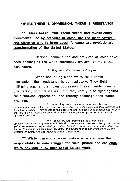#### WHERE THERE IS OPPRESSION, THERE IS RESISTANCE

\*\* Mass-based, multi-racial radical and revolutionary movements, led by activists of color, are the most powerful and effective way to bring about fundamental, revolutionary transformation of the United States.

-- Nations, communities and activists of color have been challenging the white supremacy system for more than 500 years.

\*\*\* They resist first, hardest and longest.

-- When non-ruling class white folks resist oppression, their resistance is contradictory. They fight militantly against their own oppression (class, gender, sexual orientation, political issues), but they rarely also fight against racial/national oppression, and thereby challenge their white privilege.

\*\*\* When they resist their own oppression, but not racial/national oppression, they can win their short term demands, but they sacrifice the long term struggle. They sabotage the coalitions and alliances with communities of color that are the only way they could effectively challenge the oppression that hits all oppressed peoples.

\*\*\* The history and present political practice of predominantly white progressive and radical movements demonstrates clearly that racism (often expressed as white privilege politics, behavior, culture and practice) is the major barrier to building the long term coalitions and alliances that can bring down all the systems of oppression and begin to create a new world.

**\*\*** White grassroots social justice activists have the responsibility to *both* struggle for racial justice and challenge white privilege in all their social justice work.